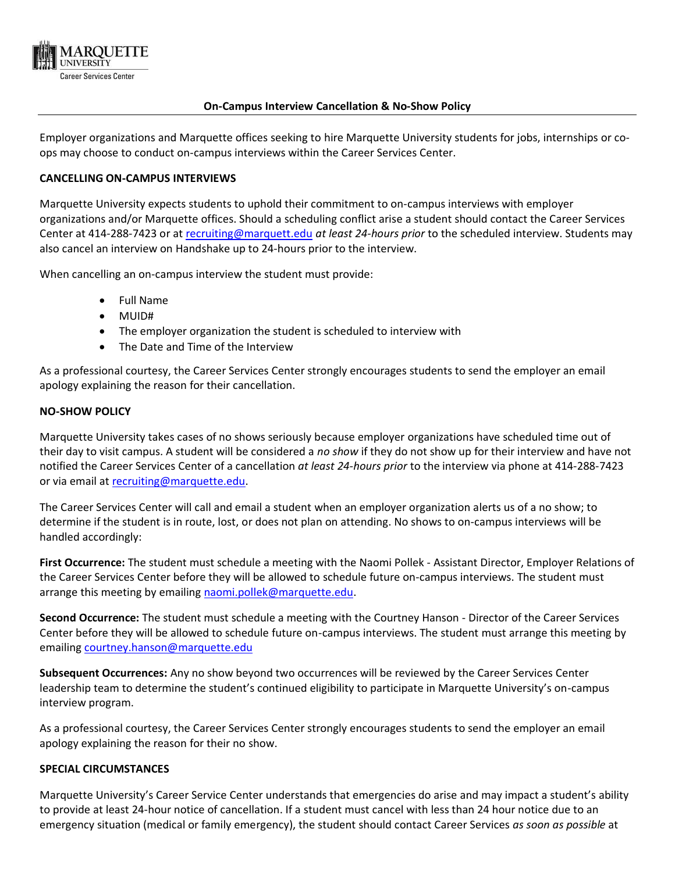

## **On-Campus Interview Cancellation & No-Show Policy**

Employer organizations and Marquette offices seeking to hire Marquette University students for jobs, internships or coops may choose to conduct on-campus interviews within the Career Services Center.

## **CANCELLING ON-CAMPUS INTERVIEWS**

Marquette University expects students to uphold their commitment to on-campus interviews with employer organizations and/or Marquette offices. Should a scheduling conflict arise a student should contact the Career Services Center at 414-288-7423 or at [recruiting@marquett.edu](mailto:recruiting@marquett.edu) *at least 24-hours prior* to the scheduled interview. Students may also cancel an interview on Handshake up to 24-hours prior to the interview.

When cancelling an on-campus interview the student must provide:

- Full Name
- MUID#
- The employer organization the student is scheduled to interview with
- The Date and Time of the Interview

As a professional courtesy, the Career Services Center strongly encourages students to send the employer an email apology explaining the reason for their cancellation.

### **NO-SHOW POLICY**

Marquette University takes cases of no shows seriously because employer organizations have scheduled time out of their day to visit campus. A student will be considered a *no show* if they do not show up for their interview and have not notified the Career Services Center of a cancellation *at least 24-hours prior* to the interview via phone at 414-288-7423 or via email at [recruiting@marquette.edu.](mailto:recruiting@marquette.edu)

The Career Services Center will call and email a student when an employer organization alerts us of a no show; to determine if the student is in route, lost, or does not plan on attending. No shows to on-campus interviews will be handled accordingly:

**First Occurrence:** The student must schedule a meeting with the Naomi Pollek - Assistant Director, Employer Relations of the Career Services Center before they will be allowed to schedule future on-campus interviews. The student must arrange this meeting by emailing [naomi.pollek@marquette.edu.](mailto:naomi.pollek@marquette.edu)

**Second Occurrence:** The student must schedule a meeting with the Courtney Hanson - Director of the Career Services Center before they will be allowed to schedule future on-campus interviews. The student must arrange this meeting by emailing [courtney.hanson@marquette.edu](mailto:courtney.hanson@marquette.edu)

**Subsequent Occurrences:** Any no show beyond two occurrences will be reviewed by the Career Services Center leadership team to determine the student's continued eligibility to participate in Marquette University's on-campus interview program.

As a professional courtesy, the Career Services Center strongly encourages students to send the employer an email apology explaining the reason for their no show.

## **SPECIAL CIRCUMSTANCES**

Marquette University's Career Service Center understands that emergencies do arise and may impact a student's ability to provide at least 24-hour notice of cancellation. If a student must cancel with less than 24 hour notice due to an emergency situation (medical or family emergency), the student should contact Career Services *as soon as possible* at